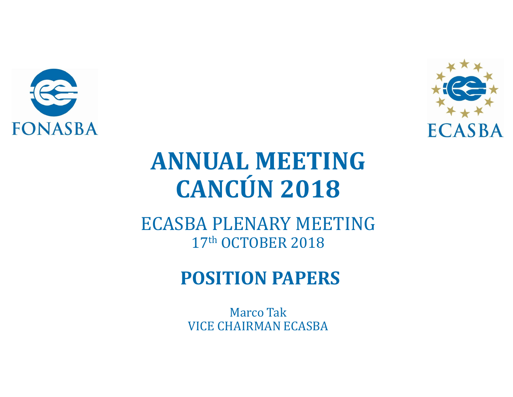



## **ANNUAL MEETING CANCÚN 2018**

**ECASBA PLENARY MEETING** 17th OCTOBER 2018

### **POSITION PAPERS**

**Marco Tak VICE CHAIRMAN ECASBA**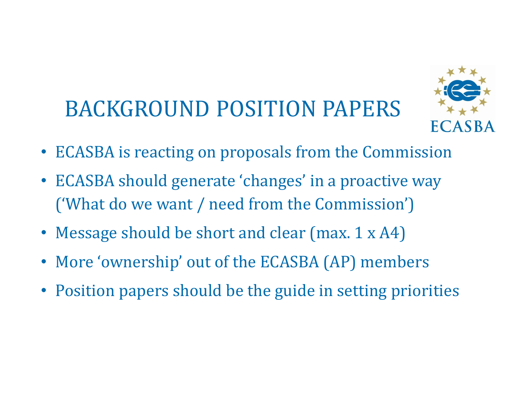# BACKGROUND POSITION PAPERS



- ECASBA is reacting on proposals from the Commission
- ECASBA should generate 'changes' in a proactive way ('What do we want / need from the Commission')
- Message should be short and clear (max. 1 x A4)
- More 'ownership' out of the ECASBA (AP) members
- Position papers should be the guide in setting priorities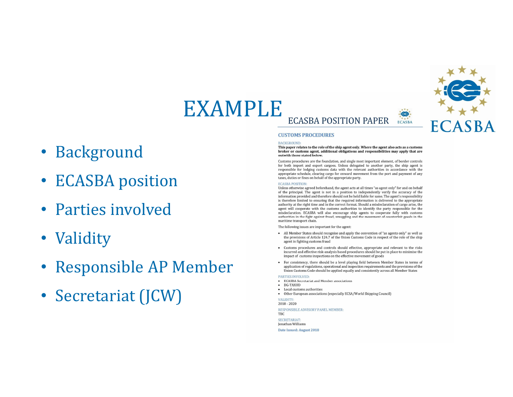### EXAMPLE ice **ECASBA POSITION PAPER**  $ECASBA$

- Background
- **ECASBA** position
- Parties involved
- Validity
- Responsible AP Member
- Secretariat (JCW)

### **CUSTOMS PROCEDURES**

### **BACKGROUND:**

### This paper relates to the role of the ship agent only. Where the agent also acts as a customs broker or customs agent, additional obligations and responsibilities may apply that are outwith those stated below

ECA

Customs procedures are the foundation, and single most important element, of border controls for both import and export cargoes. Unless delegated to another party, the ship agent is responsible for lodging customs data with the relevant authorities in accordance with the appropriate schedule, clearing cargo for onward movement from the port and payment of any taxes, duties or fines on behalf of the appropriate party.

### **ECASBA POSITION:**

Unless otherwise agreed beforehand, the agent acts at all times "as agent only" for and on behalf of the principal. The agent is not in a position to independently verify the accuracy of the information provided and therefore should not be held liable for same. The agent's responsibility is therefore limited to ensuring that the required information is delivered to the appropriate authority at the right time and in the correct format. Should a misdeclaration of cargo arise, the agent will cooperate with the customs authorities to identify the party responsible for the misdeclaration. ECASBA will also encourage ship agents to cooperate fully with customs authorities in the fight against fraud, smuggling and the movement of counterfeit goods in the maritime transport chain.

The following issues are important for the agent:

- All Member States should recognise and apply the convention of "as agents only" as well as the provisions of Article 124.7 of the Union Customs Code in respect of the role of the ship agent in fighting customs fraud
- Customs procedures and controls should effective, appropriate and relevant to the risks incurred and effective risk-analysis based procedures should be put in place to minimise the impact of customs inspections on the effective movement of goods
- For consistency, there should be a level playing field between Member States in terms of application of regulations, operational and inspection requirements and the provisions of the Union Customs Code should be applied equally and consistently across all Member States

### PARTIES INVOLVED:

- **ECASBA Secretariat and Member associations**  $\bullet$  DG-TAXUD
- Local customs authorities
- Other European associations (especially ECSA/World Shipping Council)
- VALIDITY:

 $2018 - 2020$ 

RESPONSIBLE ADVISORY PANEL MEMBER TBC **SECRETARIAT:** 

**Ionathan Williams** Date Issued: August 2018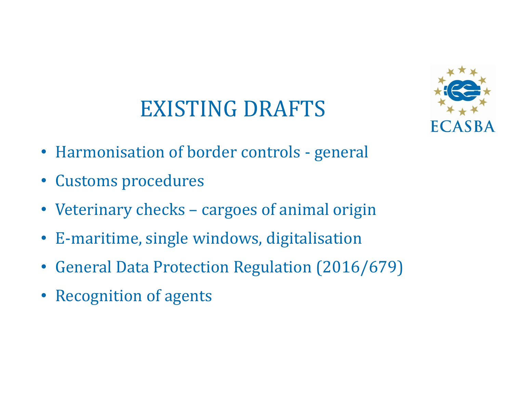### EXISTING DRAFTS



- Harmonisation of border controls general
- Customs procedures
- Veterinary checks cargoes of animal origin
- E-maritime, single windows, digitalisation
- General Data Protection Regulation (2016/679)
- Recognition of agents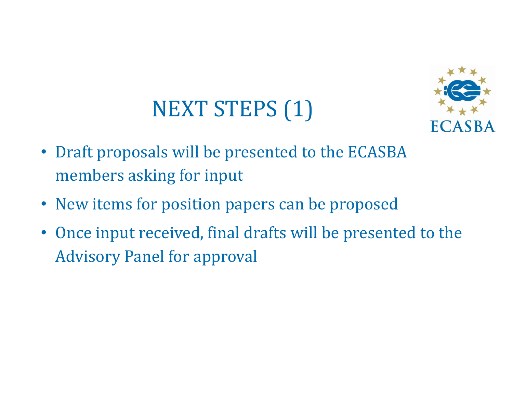# NEXT STEPS (1)



- Draft proposals will be presented to the ECASBA members asking for input
- New items for position papers can be proposed
- Once input received, final drafts will be presented to the Advisory Panel for approval